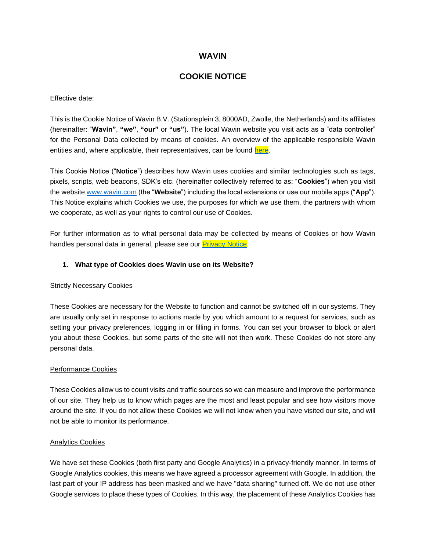# **WAVIN**

# **COOKIE NOTICE**

Effective date:

This is the Cookie Notice of Wavin B.V. (Stationsplein 3, 8000AD, Zwolle, the Netherlands) and its affiliates (hereinafter: "**Wavin"**, **"we"**, **"our"** or **"us"**). The local Wavin website you visit acts as a "data controller" for the Personal Data collected by means of cookies. An overview of the applicable responsible Wavin entities and, where applicable, their representatives, can be found [here.](https://www.wavin.com/en-en/Privacy-annex)

This Cookie Notice ("**Notice**") describes how Wavin uses cookies and similar technologies such as tags, pixels, scripts, web beacons, SDK's etc. (hereinafter collectively referred to as: "**Cookies**") when you visit the website [www.wavin.com](http://www.wavin.com/) (the "**Website**") including the local extensions or use our mobile apps ("**App**"). This Notice explains which Cookies we use, the purposes for which we use them, the partners with whom we cooperate, as well as your rights to control our use of Cookies.

For further information as to what personal data may be collected by means of Cookies or how Wavin handles personal data in general, please see our **Privacy Notice**.

### **1. What type of Cookies does Wavin use on its Website?**

### **Strictly Necessary Cookies**

These Cookies are necessary for the Website to function and cannot be switched off in our systems. They are usually only set in response to actions made by you which amount to a request for services, such as setting your privacy preferences, logging in or filling in forms. You can set your browser to block or alert you about these Cookies, but some parts of the site will not then work. These Cookies do not store any personal data.

### Performance Cookies

These Cookies allow us to count visits and traffic sources so we can measure and improve the performance of our site. They help us to know which pages are the most and least popular and see how visitors move around the site. If you do not allow these Cookies we will not know when you have visited our site, and will not be able to monitor its performance.

### Analytics Cookies

We have set these Cookies (both first party and Google Analytics) in a privacy-friendly manner. In terms of Google Analytics cookies, this means we have agreed a processor agreement with Google. In addition, the last part of your IP address has been masked and we have "data sharing" turned off. We do not use other Google services to place these types of Cookies. In this way, the placement of these Analytics Cookies has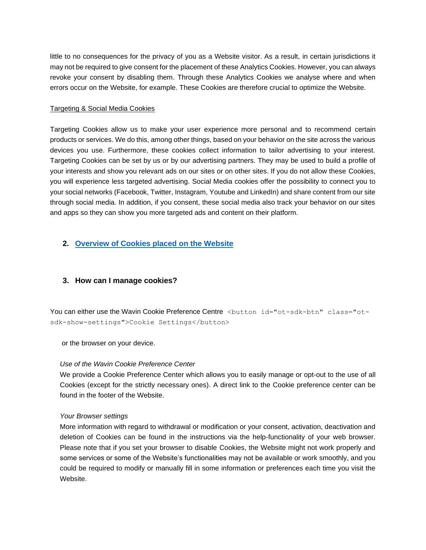little to no consequences for the privacy of you as a Website visitor. As a result, in certain jurisdictions it may not be required to give consent for the placement of these Analytics Cookies. However, you can always revoke your consent by disabling them. Through these Analytics Cookies we analyse where and when errors occur on the Website, for example. These Cookies are therefore crucial to optimize the Website.

### Targeting & Social Media Cookies

Targeting Cookies allow us to make your user experience more personal and to recommend certain products or services. We do this, among other things, based on your behavior on the site across the various devices you use. Furthermore, these cookies collect information to tailor advertising to your interest. Targeting Cookies can be set by us or by our advertising partners. They may be used to build a profile of your interests and show you relevant ads on our sites or on other sites. If you do not allow these Cookies, you will experience less targeted advertising. Social Media cookies offer the possibility to connect you to your social networks (Facebook, Twitter, Instagram, Youtube and LinkedIn) and share content from our site through social media. In addition, if you consent, these social media also track your behavior on our sites and apps so they can show you more targeted ads and content on their platform.

# **2. [Overview of Cookies placed on the Website](https://www.wavin.com/en-gb/privacy-and-cookie-statement/cookielist-table)**

## **3. How can I manage cookies?**

You can either use the Wavin Cookie Preference Centre <br />  $\lambda$ utton id="ot-sdk-btn" class="otsdk-show-settings">Cookie Settings</button>

or the browser on your device.

## *Use of the Wavin Cookie Preference Center*

We provide a Cookie Preference Center which allows you to easily manage or opt-out to the use of all Cookies (except for the strictly necessary ones). A direct link to the Cookie preference center can be found in the footer of the Website.

### *Your Browser settings*

More information with regard to withdrawal or modification or your consent, activation, deactivation and deletion of Cookies can be found in the instructions via the help-functionality of your web browser. Please note that if you set your browser to disable Cookies, the Website might not work properly and some services or some of the Website's functionalities may not be available or work smoothly, and you could be required to modify or manually fill in some information or preferences each time you visit the Website.